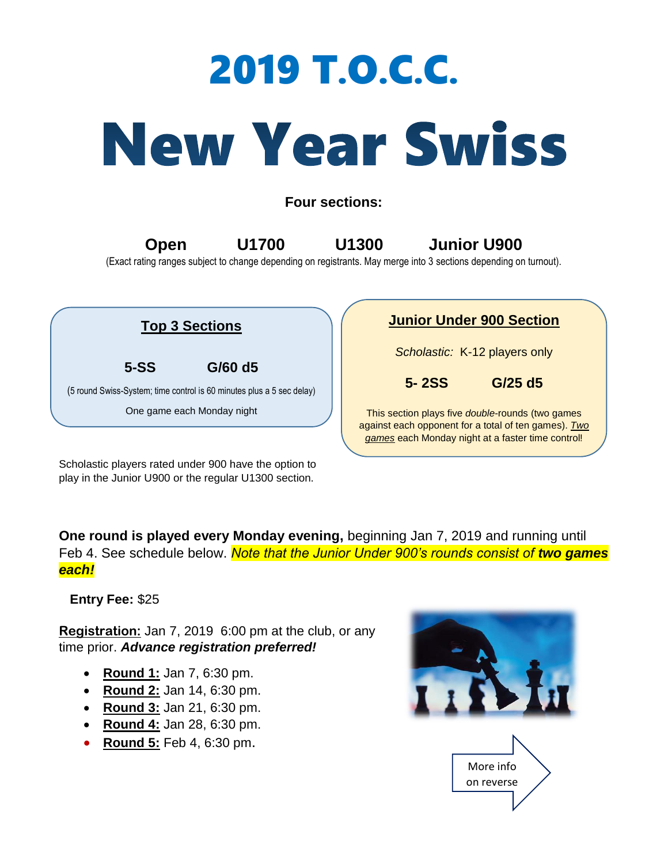## 2019 T.O.C.C.

## **New Year Swiss**

**Four sections:**

**Open U1700 U1300 Junior U900** 

(Exact rating ranges subject to change depending on registrants. May merge into 3 sections depending on turnout).



Scholastic players rated under 900 have the option to play in the Junior U900 or the regular U1300 section.

**One round is played every Monday evening,** beginning Jan 7, 2019 and running until Feb 4. See schedule below. **Note that the Junior Under 900's rounds consist of two games** *each!*

 **Entry Fee:** \$25

**Registration:** Jan 7, 2019 6:00 pm at the club, or any time prior. *Advance registration preferred!*

- **Round 1:** Jan 7, 6:30 pm.
- **Round 2:** Jan 14, 6:30 pm.
- **Round 3:** Jan 21, 6:30 pm.
- **Round 4:** Jan 28, 6:30 pm.
- **Round 5:** Feb 4, 6:30 pm.